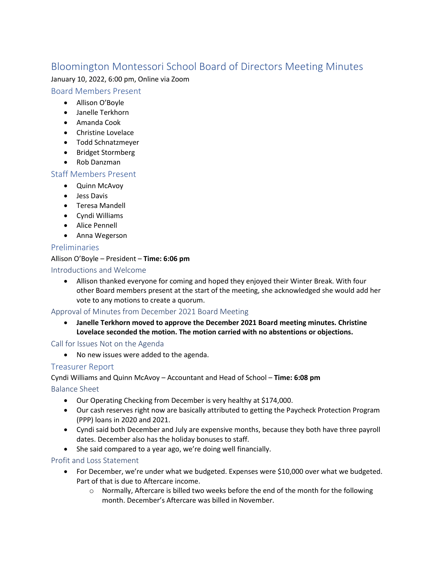# Bloomington Montessori School Board of Directors Meeting Minutes

January 10, 2022, 6:00 pm, Online via Zoom

## Board Members Present

- Allison O'Boyle
- Janelle Terkhorn
- Amanda Cook
- Christine Lovelace
- Todd Schnatzmeyer
- Bridget Stormberg
- Rob Danzman

#### Staff Members Present

- Quinn McAvoy
- Jess Davis
- Teresa Mandell
- Cyndi Williams
- Alice Pennell
- Anna Wegerson

# Preliminaries

#### Allison O'Boyle – President – **Time: 6:06 pm**

#### Introductions and Welcome

• Allison thanked everyone for coming and hoped they enjoyed their Winter Break. With four other Board members present at the start of the meeting, she acknowledged she would add her vote to any motions to create a quorum.

# Approval of Minutes from December 2021 Board Meeting

• **Janelle Terkhorn moved to approve the December 2021 Board meeting minutes. Christine Lovelace seconded the motion. The motion carried with no abstentions or objections.**

Call for Issues Not on the Agenda

• No new issues were added to the agenda.

# Treasurer Report

Cyndi Williams and Quinn McAvoy – Accountant and Head of School – **Time: 6:08 pm**

Balance Sheet

- Our Operating Checking from December is very healthy at \$174,000.
- Our cash reserves right now are basically attributed to getting the Paycheck Protection Program (PPP) loans in 2020 and 2021.
- Cyndi said both December and July are expensive months, because they both have three payroll dates. December also has the holiday bonuses to staff.
- She said compared to a year ago, we're doing well financially.

#### Profit and Loss Statement

- For December, we're under what we budgeted. Expenses were \$10,000 over what we budgeted. Part of that is due to Aftercare income.
	- o Normally, Aftercare is billed two weeks before the end of the month for the following month. December's Aftercare was billed in November.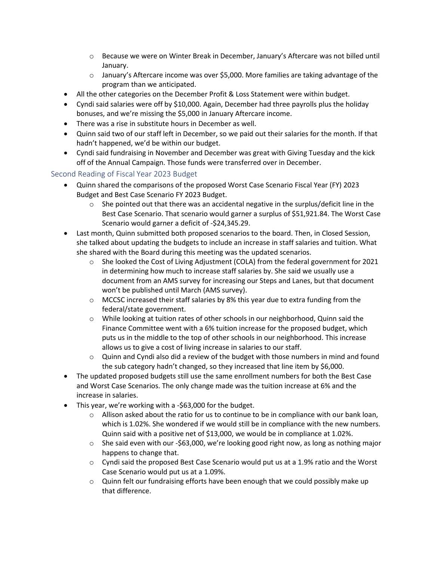- $\circ$  Because we were on Winter Break in December, January's Aftercare was not billed until January.
- $\circ$  January's Aftercare income was over \$5,000. More families are taking advantage of the program than we anticipated.
- All the other categories on the December Profit & Loss Statement were within budget.
- Cyndi said salaries were off by \$10,000. Again, December had three payrolls plus the holiday bonuses, and we're missing the \$5,000 in January Aftercare income.
- There was a rise in substitute hours in December as well.
- Quinn said two of our staff left in December, so we paid out their salaries for the month. If that hadn't happened, we'd be within our budget.
- Cyndi said fundraising in November and December was great with Giving Tuesday and the kick off of the Annual Campaign. Those funds were transferred over in December.

## Second Reading of Fiscal Year 2023 Budget

- Quinn shared the comparisons of the proposed Worst Case Scenario Fiscal Year (FY) 2023 Budget and Best Case Scenario FY 2023 Budget.
	- $\circ$  She pointed out that there was an accidental negative in the surplus/deficit line in the Best Case Scenario. That scenario would garner a surplus of \$51,921.84. The Worst Case Scenario would garner a deficit of -\$24,345.29.
- Last month, Quinn submitted both proposed scenarios to the board. Then, in Closed Session, she talked about updating the budgets to include an increase in staff salaries and tuition. What she shared with the Board during this meeting was the updated scenarios.
	- $\circ$  She looked the Cost of Living Adjustment (COLA) from the federal government for 2021 in determining how much to increase staff salaries by. She said we usually use a document from an AMS survey for increasing our Steps and Lanes, but that document won't be published until March (AMS survey).
	- $\circ$  MCCSC increased their staff salaries by 8% this year due to extra funding from the federal/state government.
	- o While looking at tuition rates of other schools in our neighborhood, Quinn said the Finance Committee went with a 6% tuition increase for the proposed budget, which puts us in the middle to the top of other schools in our neighborhood. This increase allows us to give a cost of living increase in salaries to our staff.
	- $\circ$  Quinn and Cyndi also did a review of the budget with those numbers in mind and found the sub category hadn't changed, so they increased that line item by \$6,000.
- The updated proposed budgets still use the same enrollment numbers for both the Best Case and Worst Case Scenarios. The only change made was the tuition increase at 6% and the increase in salaries.
- This year, we're working with a -\$63,000 for the budget.
	- $\circ$  Allison asked about the ratio for us to continue to be in compliance with our bank loan, which is 1.02%. She wondered if we would still be in compliance with the new numbers. Quinn said with a positive net of \$13,000, we would be in compliance at 1.02%.
	- $\circ$  She said even with our -\$63,000, we're looking good right now, as long as nothing major happens to change that.
	- $\circ$  Cyndi said the proposed Best Case Scenario would put us at a 1.9% ratio and the Worst Case Scenario would put us at a 1.09%.
	- $\circ$  Quinn felt our fundraising efforts have been enough that we could possibly make up that difference.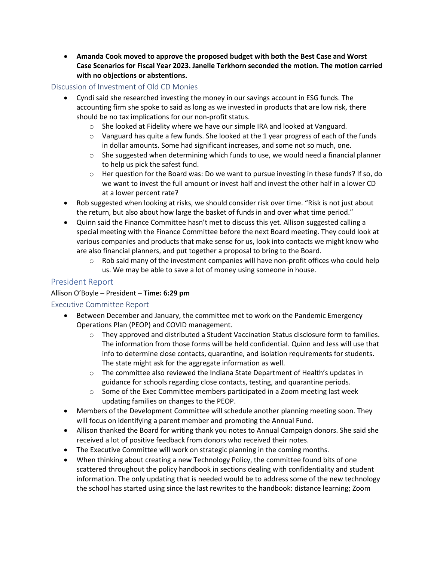• **Amanda Cook moved to approve the proposed budget with both the Best Case and Worst Case Scenarios for Fiscal Year 2023. Janelle Terkhorn seconded the motion. The motion carried with no objections or abstentions.**

#### Discussion of Investment of Old CD Monies

- Cyndi said she researched investing the money in our savings account in ESG funds. The accounting firm she spoke to said as long as we invested in products that are low risk, there should be no tax implications for our non-profit status.
	- $\circ$  She looked at Fidelity where we have our simple IRA and looked at Vanguard.
	- $\circ$  Vanguard has quite a few funds. She looked at the 1 year progress of each of the funds in dollar amounts. Some had significant increases, and some not so much, one.
	- $\circ$  She suggested when determining which funds to use, we would need a financial planner to help us pick the safest fund.
	- $\circ$  Her question for the Board was: Do we want to pursue investing in these funds? If so, do we want to invest the full amount or invest half and invest the other half in a lower CD at a lower percent rate?
- Rob suggested when looking at risks, we should consider risk over time. "Risk is not just about the return, but also about how large the basket of funds in and over what time period."
- Quinn said the Finance Committee hasn't met to discuss this yet. Allison suggested calling a special meeting with the Finance Committee before the next Board meeting. They could look at various companies and products that make sense for us, look into contacts we might know who are also financial planners, and put together a proposal to bring to the Board.
	- $\circ$  Rob said many of the investment companies will have non-profit offices who could help us. We may be able to save a lot of money using someone in house.

## President Report

#### Allison O'Boyle – President – **Time: 6:29 pm**

#### Executive Committee Report

- Between December and January, the committee met to work on the Pandemic Emergency Operations Plan (PEOP) and COVID management.
	- o They approved and distributed a Student Vaccination Status disclosure form to families. The information from those forms will be held confidential. Quinn and Jess will use that info to determine close contacts, quarantine, and isolation requirements for students. The state might ask for the aggregate information as well.
	- $\circ$  The committee also reviewed the Indiana State Department of Health's updates in guidance for schools regarding close contacts, testing, and quarantine periods.
	- $\circ$  Some of the Exec Committee members participated in a Zoom meeting last week updating families on changes to the PEOP.
- Members of the Development Committee will schedule another planning meeting soon. They will focus on identifying a parent member and promoting the Annual Fund.
- Allison thanked the Board for writing thank you notes to Annual Campaign donors. She said she received a lot of positive feedback from donors who received their notes.
- The Executive Committee will work on strategic planning in the coming months.
- When thinking about creating a new Technology Policy, the committee found bits of one scattered throughout the policy handbook in sections dealing with confidentiality and student information. The only updating that is needed would be to address some of the new technology the school has started using since the last rewrites to the handbook: distance learning; Zoom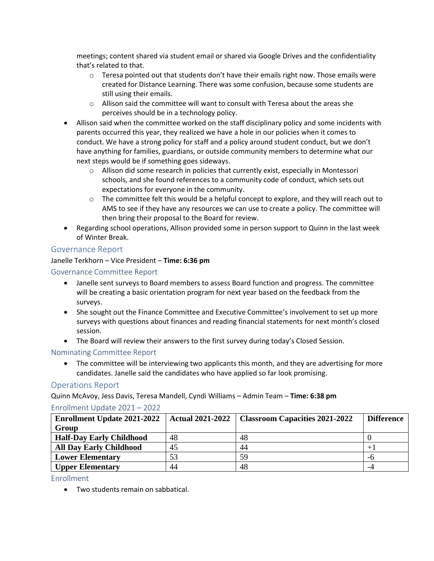meetings; content shared via student email or shared via Google Drives and the confidentiality that's related to that.

- $\circ$  Teresa pointed out that students don't have their emails right now. Those emails were created for Distance Learning. There was some confusion, because some students are still using their emails.
- $\circ$  Allison said the committee will want to consult with Teresa about the areas she perceives should be in a technology policy.
- Allison said when the committee worked on the staff disciplinary policy and some incidents with parents occurred this year, they realized we have a hole in our policies when it comes to conduct. We have a strong policy for staff and a policy around student conduct, but we don't have anything for families, guardians, or outside community members to determine what our next steps would be if something goes sideways.
	- o Allison did some research in policies that currently exist, especially in Montessori schools, and she found references to a community code of conduct, which sets out expectations for everyone in the community.
	- $\circ$  The committee felt this would be a helpful concept to explore, and they will reach out to AMS to see if they have any resources we can use to create a policy. The committee will then bring their proposal to the Board for review.
- Regarding school operations, Allison provided some in person support to Quinn in the last week of Winter Break.

# Governance Report

#### Janelle Terkhorn – Vice President – **Time: 6:36 pm**

#### Governance Committee Report

- Janelle sent surveys to Board members to assess Board function and progress. The committee will be creating a basic orientation program for next year based on the feedback from the surveys.
- She sought out the Finance Committee and Executive Committee's involvement to set up more surveys with questions about finances and reading financial statements for next month's closed session.
- The Board will review their answers to the first survey during today's Closed Session.

#### Nominating Committee Report

• The committee will be interviewing two applicants this month, and they are advertising for more candidates. Janelle said the candidates who have applied so far look promising.

#### Operations Report

Quinn McAvoy, Jess Davis, Teresa Mandell, Cyndi Williams – Admin Team – **Time: 6:38 pm**

#### Enrollment Update 2021 – 2022

| <b>Enrollment Update 2021-2022</b> | <b>Actual 2021-2022</b> | <b>Classroom Capacities 2021-2022</b> | <b>Difference</b> |
|------------------------------------|-------------------------|---------------------------------------|-------------------|
| Group                              |                         |                                       |                   |
| <b>Half-Day Early Childhood</b>    | 48                      | 48                                    |                   |
| <b>All Day Early Childhood</b>     | 45                      | 44                                    |                   |
| <b>Lower Elementary</b>            | 53                      | 59                                    | -ი                |
| <b>Upper Elementary</b>            | 44                      | 48                                    | -4                |

Enrollment

• Two students remain on sabbatical.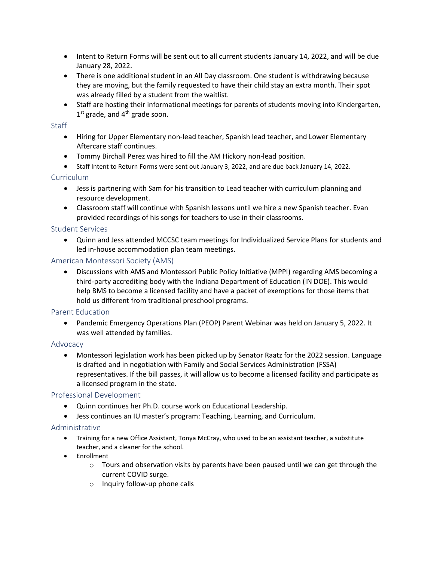- Intent to Return Forms will be sent out to all current students January 14, 2022, and will be due January 28, 2022.
- There is one additional student in an All Day classroom. One student is withdrawing because they are moving, but the family requested to have their child stay an extra month. Their spot was already filled by a student from the waitlist.
- Staff are hosting their informational meetings for parents of students moving into Kindergarten,  $1<sup>st</sup>$  grade, and  $4<sup>th</sup>$  grade soon.

#### **Staff**

- Hiring for Upper Elementary non-lead teacher, Spanish lead teacher, and Lower Elementary Aftercare staff continues.
- Tommy Birchall Perez was hired to fill the AM Hickory non-lead position.
- Staff Intent to Return Forms were sent out January 3, 2022, and are due back January 14, 2022.

## **Curriculum**

- Jess is partnering with Sam for his transition to Lead teacher with curriculum planning and resource development.
- Classroom staff will continue with Spanish lessons until we hire a new Spanish teacher. Evan provided recordings of his songs for teachers to use in their classrooms.

#### Student Services

• Quinn and Jess attended MCCSC team meetings for Individualized Service Plans for students and led in-house accommodation plan team meetings.

#### American Montessori Society (AMS)

• Discussions with AMS and Montessori Public Policy Initiative (MPPI) regarding AMS becoming a third-party accrediting body with the Indiana Department of Education (IN DOE). This would help BMS to become a licensed facility and have a packet of exemptions for those items that hold us different from traditional preschool programs.

#### Parent Education

• Pandemic Emergency Operations Plan (PEOP) Parent Webinar was held on January 5, 2022. It was well attended by families.

#### Advocacy

• Montessori legislation work has been picked up by Senator Raatz for the 2022 session. Language is drafted and in negotiation with Family and Social Services Administration (FSSA) representatives. If the bill passes, it will allow us to become a licensed facility and participate as a licensed program in the state.

#### Professional Development

- Quinn continues her Ph.D. course work on Educational Leadership.
- Jess continues an IU master's program: Teaching, Learning, and Curriculum.

#### Administrative

- Training for a new Office Assistant, Tonya McCray, who used to be an assistant teacher, a substitute teacher, and a cleaner for the school.
- Enrollment
	- $\circ$  Tours and observation visits by parents have been paused until we can get through the current COVID surge.
	- o Inquiry follow-up phone calls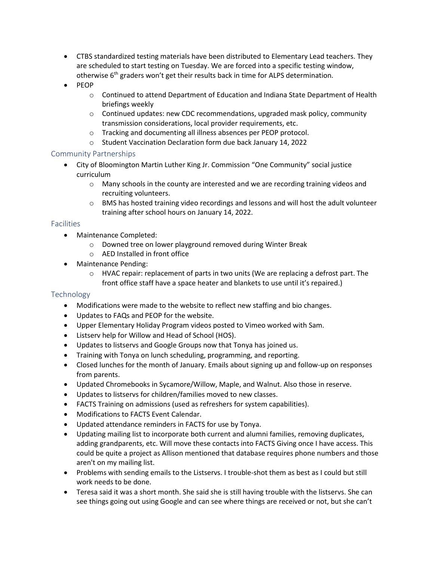- CTBS standardized testing materials have been distributed to Elementary Lead teachers. They are scheduled to start testing on Tuesday. We are forced into a specific testing window, otherwise  $6<sup>th</sup>$  graders won't get their results back in time for ALPS determination.
- PEOP
	- $\circ$  Continued to attend Department of Education and Indiana State Department of Health briefings weekly
	- $\circ$  Continued updates: new CDC recommendations, upgraded mask policy, community transmission considerations, local provider requirements, etc.
	- o Tracking and documenting all illness absences per PEOP protocol.
	- o Student Vaccination Declaration form due back January 14, 2022

## Community Partnerships

- City of Bloomington Martin Luther King Jr. Commission "One Community" social justice curriculum
	- $\circ$  Many schools in the county are interested and we are recording training videos and recruiting volunteers.
	- $\circ$  BMS has hosted training video recordings and lessons and will host the adult volunteer training after school hours on January 14, 2022.

## Facilities

- Maintenance Completed:
	- o Downed tree on lower playground removed during Winter Break
	- o AED Installed in front office
- Maintenance Pending:
	- $\circ$  HVAC repair: replacement of parts in two units (We are replacing a defrost part. The front office staff have a space heater and blankets to use until it's repaired.)

# Technology

- Modifications were made to the website to reflect new staffing and bio changes.
- Updates to FAQs and PEOP for the website.
- Upper Elementary Holiday Program videos posted to Vimeo worked with Sam.
- Listserv help for Willow and Head of School (HOS).
- Updates to listservs and Google Groups now that Tonya has joined us.
- Training with Tonya on lunch scheduling, programming, and reporting.
- Closed lunches for the month of January. Emails about signing up and follow-up on responses from parents.
- Updated Chromebooks in Sycamore/Willow, Maple, and Walnut. Also those in reserve.
- Updates to listservs for children/families moved to new classes.
- FACTS Training on admissions (used as refreshers for system capabilities).
- Modifications to FACTS Event Calendar.
- Updated attendance reminders in FACTS for use by Tonya.
- Updating mailing list to incorporate both current and alumni families, removing duplicates, adding grandparents, etc. Will move these contacts into FACTS Giving once I have access. This could be quite a project as Allison mentioned that database requires phone numbers and those aren't on my mailing list.
- Problems with sending emails to the Listservs. I trouble-shot them as best as I could but still work needs to be done.
- Teresa said it was a short month. She said she is still having trouble with the listservs. She can see things going out using Google and can see where things are received or not, but she can't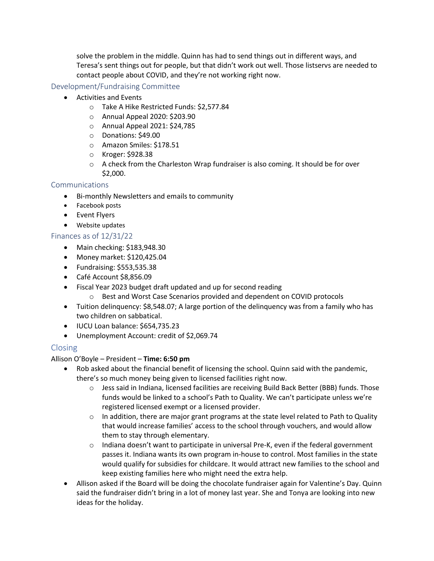solve the problem in the middle. Quinn has had to send things out in different ways, and Teresa's sent things out for people, but that didn't work out well. Those listservs are needed to contact people about COVID, and they're not working right now.

#### Development/Fundraising Committee

- Activities and Events
	- o Take A Hike Restricted Funds: \$2,577.84
	- o Annual Appeal 2020: \$203.90
	- o Annual Appeal 2021: \$24,785
	- o Donations: \$49.00
	- o Amazon Smiles: \$178.51
	- o Kroger: \$928.38
	- $\circ$  A check from the Charleston Wrap fundraiser is also coming. It should be for over \$2,000.

#### Communications

- Bi-monthly Newsletters and emails to community
- Facebook posts
- Event Flyers
- Website updates

#### Finances as of 12/31/22

- Main checking: \$183,948.30
- Money market: \$120,425.04
- Fundraising: \$553,535.38
- Café Account \$8,856.09
- Fiscal Year 2023 budget draft updated and up for second reading
	- o Best and Worst Case Scenarios provided and dependent on COVID protocols
- Tuition delinquency: \$8,548.07; A large portion of the delinquency was from a family who has two children on sabbatical.
- IUCU Loan balance: \$654,735.23
- Unemployment Account: credit of \$2,069.74

#### Closing

Allison O'Boyle – President – **Time: 6:50 pm**

- Rob asked about the financial benefit of licensing the school. Quinn said with the pandemic, there's so much money being given to licensed facilities right now.
	- o Jess said in Indiana, licensed facilities are receiving Build Back Better (BBB) funds. Those funds would be linked to a school's Path to Quality. We can't participate unless we're registered licensed exempt or a licensed provider.
	- $\circ$  In addition, there are major grant programs at the state level related to Path to Quality that would increase families' access to the school through vouchers, and would allow them to stay through elementary.
	- $\circ$  Indiana doesn't want to participate in universal Pre-K, even if the federal government passes it. Indiana wants its own program in-house to control. Most families in the state would qualify for subsidies for childcare. It would attract new families to the school and keep existing families here who might need the extra help.
- Allison asked if the Board will be doing the chocolate fundraiser again for Valentine's Day. Quinn said the fundraiser didn't bring in a lot of money last year. She and Tonya are looking into new ideas for the holiday.